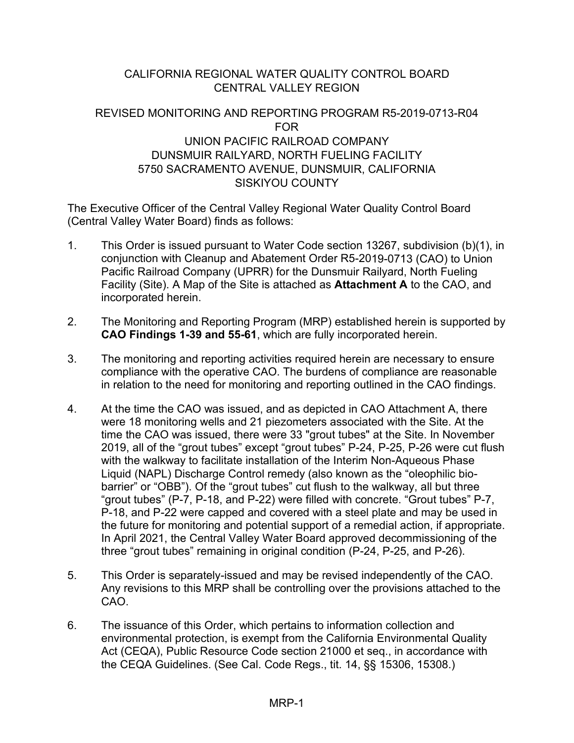# CALIFORNIA REGIONAL WATER QUALITY CONTROL BOARD CENTRAL VALLEY REGION

# REVISED MONITORING AND REPORTING PROGRAM R5-2019-0713-R04 FOR UNION PACIFIC RAILROAD COMPANY DUNSMUIR RAILYARD, NORTH FUELING FACILITY 5750 SACRAMENTO AVENUE, DUNSMUIR, CALIFORNIA SISKIYOU COUNTY

The Executive Officer of the Central Valley Regional Water Quality Control Board (Central Valley Water Board) finds as follows:

- 1. This Order is issued pursuant to Water Code section 13267, subdivision (b)(1), in conjunction with Cleanup and Abatement Order R5-2019-0713 (CAO) to Union Pacific Railroad Company (UPRR) for the Dunsmuir Railyard, North Fueling Facility (Site). A Map of the Site is attached as **Attachment A** to the CAO, and incorporated herein.
- 2. The Monitoring and Reporting Program (MRP) established herein is supported by **CAO Findings 1-39 and 55-61**, which are fully incorporated herein.
- 3. The monitoring and reporting activities required herein are necessary to ensure compliance with the operative CAO. The burdens of compliance are reasonable in relation to the need for monitoring and reporting outlined in the CAO findings.
- 4. At the time the CAO was issued, and as depicted in CAO Attachment A, there were 18 monitoring wells and 21 piezometers associated with the Site. At the time the CAO was issued, there were 33 "grout tubes" at the Site. In November 2019, all of the "grout tubes" except "grout tubes" P-24, P-25, P-26 were cut flush with the walkway to facilitate installation of the Interim Non-Aqueous Phase Liquid (NAPL) Discharge Control remedy (also known as the "oleophilic biobarrier" or "OBB"). Of the "grout tubes" cut flush to the walkway, all but three "grout tubes" (P-7, P-18, and P-22) were filled with concrete. "Grout tubes" P-7, P-18, and P-22 were capped and covered with a steel plate and may be used in the future for monitoring and potential support of a remedial action, if appropriate. In April 2021, the Central Valley Water Board approved decommissioning of the three "grout tubes" remaining in original condition (P-24, P-25, and P-26).
- 5. This Order is separately-issued and may be revised independently of the CAO. Any revisions to this MRP shall be controlling over the provisions attached to the CAO.
- 6. The issuance of this Order, which pertains to information collection and environmental protection, is exempt from the California Environmental Quality Act (CEQA), Public Resource Code section 21000 et seq., in accordance with the CEQA Guidelines. (See Cal. Code Regs., tit. 14, §§ 15306, 15308.)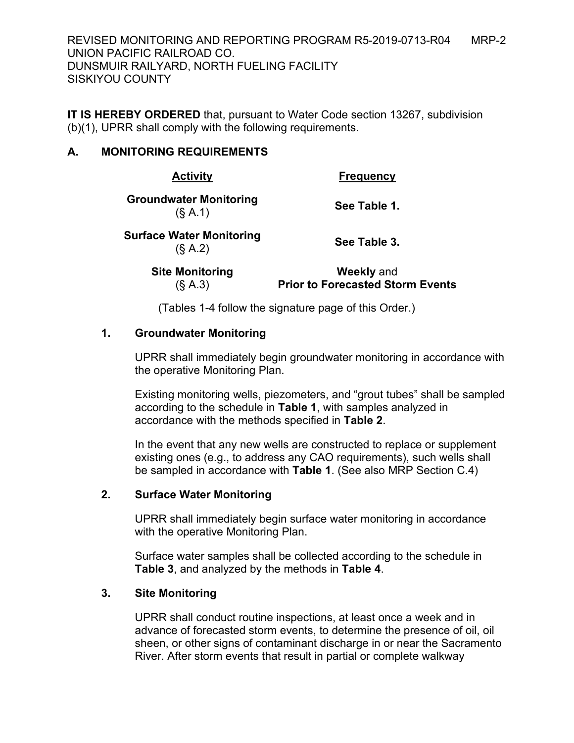REVISED MONITORING AND REPORTING PROGRAM R5-2019-0713-R04 MRP-2 UNION PACIFIC RAILROAD CO. DUNSMUIR RAILYARD, NORTH FUELING FACILITY SISKIYOU COUNTY

**IT IS HEREBY ORDERED** that, pursuant to Water Code section 13267, subdivision (b)(1), UPRR shall comply with the following requirements.

## **A. MONITORING REQUIREMENTS**

| <b>Activity</b>                            | <b>Frequency</b> |  |
|--------------------------------------------|------------------|--|
| <b>Groundwater Monitoring</b><br>(S A.1)   | See Table 1.     |  |
| <b>Surface Water Monitoring</b><br>(S A.2) | See Table 3.     |  |
|                                            |                  |  |

**Site Monitoring** (§ A.3)

**Weekly** and **Prior to Forecasted Storm Events**

(Tables 1-4 follow the signature page of this Order.)

## **1. Groundwater Monitoring**

UPRR shall immediately begin groundwater monitoring in accordance with the operative Monitoring Plan.

Existing monitoring wells, piezometers, and "grout tubes" shall be sampled according to the schedule in **Table 1**, with samples analyzed in accordance with the methods specified in **Table 2**.

In the event that any new wells are constructed to replace or supplement existing ones (e.g., to address any CAO requirements), such wells shall be sampled in accordance with **Table 1**. (See also MRP Section C.4)

## **2. Surface Water Monitoring**

UPRR shall immediately begin surface water monitoring in accordance with the operative Monitoring Plan.

Surface water samples shall be collected according to the schedule in **Table 3**, and analyzed by the methods in **Table 4**.

## **3. Site Monitoring**

UPRR shall conduct routine inspections, at least once a week and in advance of forecasted storm events, to determine the presence of oil, oil sheen, or other signs of contaminant discharge in or near the Sacramento River. After storm events that result in partial or complete walkway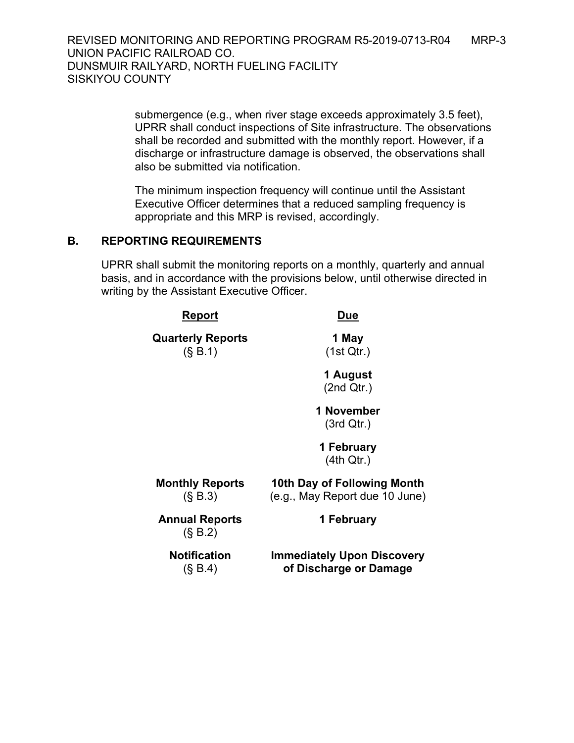REVISED MONITORING AND REPORTING PROGRAM R5-2019-0713-R04 MRP-3 UNION PACIFIC RAILROAD CO. DUNSMUIR RAILYARD, NORTH FUELING FACILITY SISKIYOU COUNTY

> submergence (e.g., when river stage exceeds approximately 3.5 feet), UPRR shall conduct inspections of Site infrastructure. The observations shall be recorded and submitted with the monthly report. However, if a discharge or infrastructure damage is observed, the observations shall also be submitted via notification.

The minimum inspection frequency will continue until the Assistant Executive Officer determines that a reduced sampling frequency is appropriate and this MRP is revised, accordingly.

#### **B. REPORTING REQUIREMENTS**

UPRR shall submit the monitoring reports on a monthly, quarterly and annual basis, and in accordance with the provisions below, until otherwise directed in writing by the Assistant Executive Officer.

| Report                               | <b>Due</b>                                                    |  |  |
|--------------------------------------|---------------------------------------------------------------|--|--|
| <b>Quarterly Reports</b><br>(S, B.1) | 1 May<br>(1st Qtr.)                                           |  |  |
|                                      | 1 August<br>(2nd Qtr.)                                        |  |  |
|                                      | 1 November<br>(3rd Qtr.)                                      |  |  |
|                                      | 1 February<br>(4th Qtr.)                                      |  |  |
| <b>Monthly Reports</b><br>(S, B.3)   | 10th Day of Following Month<br>(e.g., May Report due 10 June) |  |  |
| <b>Annual Reports</b><br>(S, B.2)    | 1 February                                                    |  |  |
| <b>Notification</b><br>(S, B.4)      | <b>Immediately Upon Discovery</b><br>of Discharge or Damage   |  |  |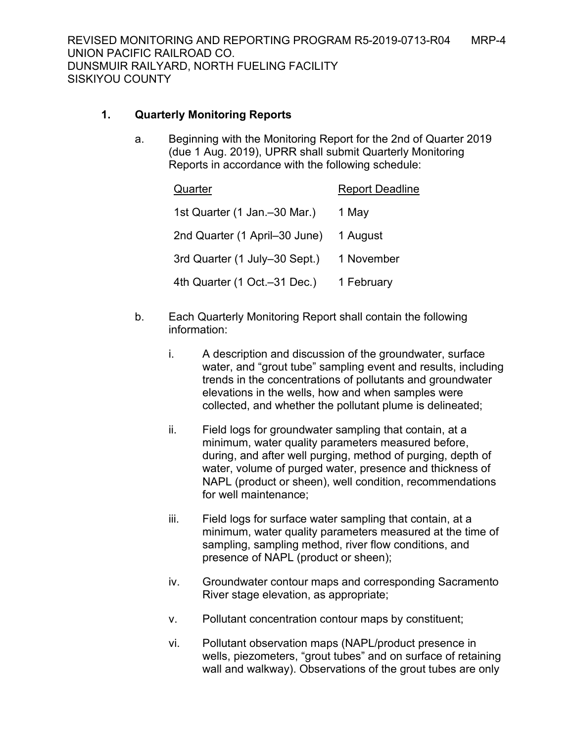## **1. Quarterly Monitoring Reports**

a. Beginning with the Monitoring Report for the 2nd of Quarter 2019 (due 1 Aug. 2019), UPRR shall submit Quarterly Monitoring Reports in accordance with the following schedule:

| Quarter                        | <b>Report Deadline</b> |
|--------------------------------|------------------------|
| 1st Quarter (1 Jan. - 30 Mar.) | 1 May                  |
| 2nd Quarter (1 April-30 June)  | 1 August               |
| 3rd Quarter (1 July-30 Sept.)  | 1 November             |
| 4th Quarter (1 Oct.-31 Dec.)   | 1 February             |

- b. Each Quarterly Monitoring Report shall contain the following information:
	- i. A description and discussion of the groundwater, surface water, and "grout tube" sampling event and results, including trends in the concentrations of pollutants and groundwater elevations in the wells, how and when samples were collected, and whether the pollutant plume is delineated;
	- ii. Field logs for groundwater sampling that contain, at a minimum, water quality parameters measured before, during, and after well purging, method of purging, depth of water, volume of purged water, presence and thickness of NAPL (product or sheen), well condition, recommendations for well maintenance;
	- iii. Field logs for surface water sampling that contain, at a minimum, water quality parameters measured at the time of sampling, sampling method, river flow conditions, and presence of NAPL (product or sheen);
	- iv. Groundwater contour maps and corresponding Sacramento River stage elevation, as appropriate;
	- v. Pollutant concentration contour maps by constituent;
	- vi. Pollutant observation maps (NAPL/product presence in wells, piezometers, "grout tubes" and on surface of retaining wall and walkway). Observations of the grout tubes are only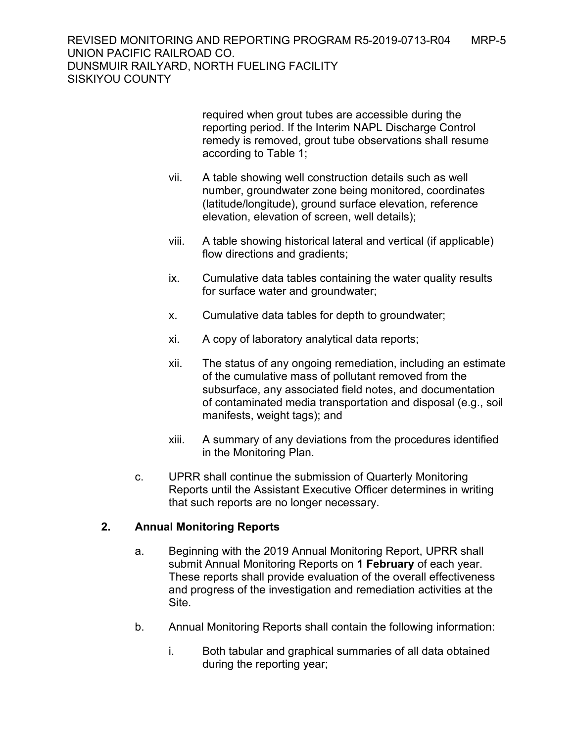required when grout tubes are accessible during the reporting period. If the Interim NAPL Discharge Control remedy is removed, grout tube observations shall resume according to Table 1;

- vii. A table showing well construction details such as well number, groundwater zone being monitored, coordinates (latitude/longitude), ground surface elevation, reference elevation, elevation of screen, well details);
- viii. A table showing historical lateral and vertical (if applicable) flow directions and gradients;
- ix. Cumulative data tables containing the water quality results for surface water and groundwater;
- x. Cumulative data tables for depth to groundwater;
- xi. A copy of laboratory analytical data reports;
- xii. The status of any ongoing remediation, including an estimate of the cumulative mass of pollutant removed from the subsurface, any associated field notes, and documentation of contaminated media transportation and disposal (e.g., soil manifests, weight tags); and
- xiii. A summary of any deviations from the procedures identified in the Monitoring Plan.
- c. UPRR shall continue the submission of Quarterly Monitoring Reports until the Assistant Executive Officer determines in writing that such reports are no longer necessary.

# **2. Annual Monitoring Reports**

- a. Beginning with the 2019 Annual Monitoring Report, UPRR shall submit Annual Monitoring Reports on **1 February** of each year. These reports shall provide evaluation of the overall effectiveness and progress of the investigation and remediation activities at the Site.
- b. Annual Monitoring Reports shall contain the following information:
	- i. Both tabular and graphical summaries of all data obtained during the reporting year;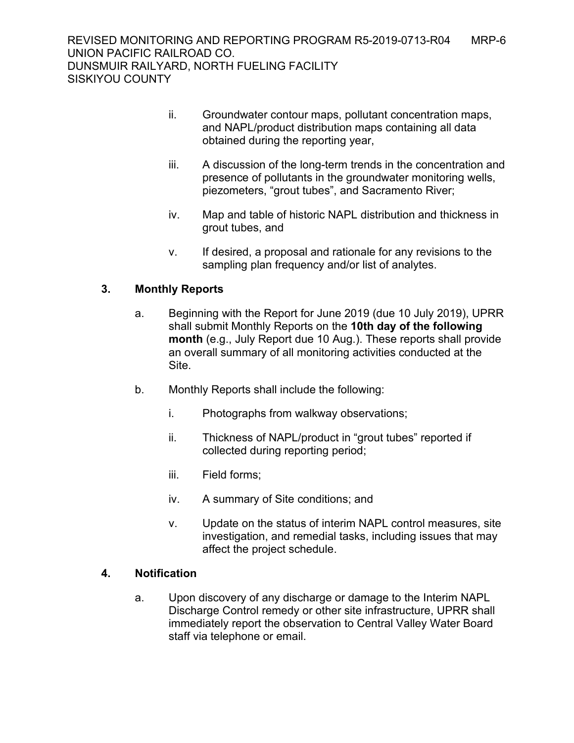- ii. Groundwater contour maps, pollutant concentration maps, and NAPL/product distribution maps containing all data obtained during the reporting year,
- iii. A discussion of the long-term trends in the concentration and presence of pollutants in the groundwater monitoring wells, piezometers, "grout tubes", and Sacramento River;
- iv. Map and table of historic NAPL distribution and thickness in grout tubes, and
- v. If desired, a proposal and rationale for any revisions to the sampling plan frequency and/or list of analytes.

## **3. Monthly Reports**

- a. Beginning with the Report for June 2019 (due 10 July 2019), UPRR shall submit Monthly Reports on the **10th day of the following month** (e.g., July Report due 10 Aug.). These reports shall provide an overall summary of all monitoring activities conducted at the Site.
- b. Monthly Reports shall include the following:
	- i. Photographs from walkway observations;
	- ii. Thickness of NAPL/product in "grout tubes" reported if collected during reporting period;
	- iii. Field forms;
	- iv. A summary of Site conditions; and
	- v. Update on the status of interim NAPL control measures, site investigation, and remedial tasks, including issues that may affect the project schedule.

## **4. Notification**

a. Upon discovery of any discharge or damage to the Interim NAPL Discharge Control remedy or other site infrastructure, UPRR shall immediately report the observation to Central Valley Water Board staff via telephone or email.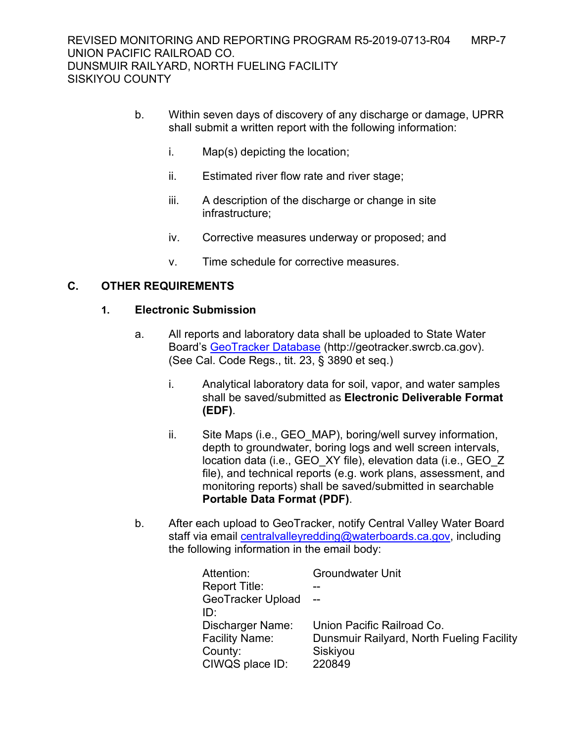- b. Within seven days of discovery of any discharge or damage, UPRR shall submit a written report with the following information:
	- i. Map(s) depicting the location;
	- ii. Estimated river flow rate and river stage;
	- iii. A description of the discharge or change in site infrastructure;
	- iv. Corrective measures underway or proposed; and
	- v. Time schedule for corrective measures.

## **C. OTHER REQUIREMENTS**

#### **1. Electronic Submission**

- a. All reports and laboratory data shall be uploaded to State Water Board's [GeoTracker](http://geotracker.swrcb.ca.gov/) Database (http://geotracker.swrcb.ca.gov). (See Cal. Code Regs., tit. 23, § 3890 et seq.)
	- i. Analytical laboratory data for soil, vapor, and water samples shall be saved/submitted as **Electronic Deliverable Format (EDF)**.
	- ii. Site Maps (i.e., GEO MAP), boring/well survey information, depth to groundwater, boring logs and well screen intervals, location data (i.e., GEO\_XY file), elevation data (i.e., GEO\_Z file), and technical reports (e.g. work plans, assessment, and monitoring reports) shall be saved/submitted in searchable **Portable Data Format (PDF)**.
- b. After each upload to GeoTracker, notify Central Valley Water Board staff via email [centralvalleyredding@waterboards.ca.gov](mailto:centralvalleyredding@waterboards.ca.gov), including the following information in the email body:

| <b>Groundwater Unit</b>                   |
|-------------------------------------------|
|                                           |
| $\overline{\phantom{0}}$                  |
|                                           |
| Union Pacific Railroad Co.                |
| Dunsmuir Railyard, North Fueling Facility |
| Siskiyou                                  |
| 220849                                    |
|                                           |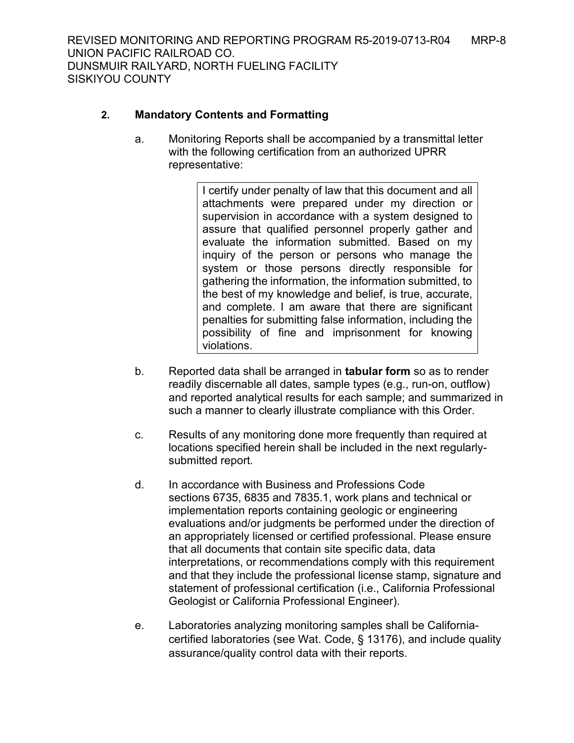# **2. Mandatory Contents and Formatting**

a. Monitoring Reports shall be accompanied by a transmittal letter with the following certification from an authorized UPRR representative:

> I certify under penalty of law that this document and all attachments were prepared under my direction or supervision in accordance with a system designed to assure that qualified personnel properly gather and evaluate the information submitted. Based on my inquiry of the person or persons who manage the system or those persons directly responsible for gathering the information, the information submitted, to the best of my knowledge and belief, is true, accurate, and complete. I am aware that there are significant penalties for submitting false information, including the possibility of fine and imprisonment for knowing violations.

- b. Reported data shall be arranged in **tabular form** so as to render readily discernable all dates, sample types (e.g., run-on, outflow) and reported analytical results for each sample; and summarized in such a manner to clearly illustrate compliance with this Order.
- c. Results of any monitoring done more frequently than required at locations specified herein shall be included in the next regularlysubmitted report.
- d. In accordance with Business and Professions Code sections 6735, 6835 and 7835.1, work plans and technical or implementation reports containing geologic or engineering evaluations and/or judgments be performed under the direction of an appropriately licensed or certified professional. Please ensure that all documents that contain site specific data, data interpretations, or recommendations comply with this requirement and that they include the professional license stamp, signature and statement of professional certification (i.e., California Professional Geologist or California Professional Engineer).
- e. Laboratories analyzing monitoring samples shall be Californiacertified laboratories (see Wat. Code, § 13176), and include quality assurance/quality control data with their reports.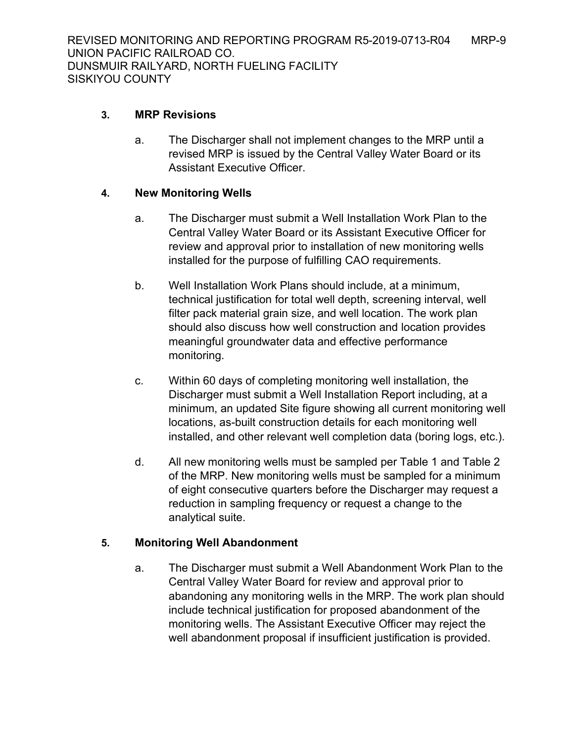# **3. MRP Revisions**

a. The Discharger shall not implement changes to the MRP until a revised MRP is issued by the Central Valley Water Board or its Assistant Executive Officer.

## **4. New Monitoring Wells**

- a. The Discharger must submit a Well Installation Work Plan to the Central Valley Water Board or its Assistant Executive Officer for review and approval prior to installation of new monitoring wells installed for the purpose of fulfilling CAO requirements.
- b. Well Installation Work Plans should include, at a minimum, technical justification for total well depth, screening interval, well filter pack material grain size, and well location. The work plan should also discuss how well construction and location provides meaningful groundwater data and effective performance monitoring.
- c. Within 60 days of completing monitoring well installation, the Discharger must submit a Well Installation Report including, at a minimum, an updated Site figure showing all current monitoring well locations, as-built construction details for each monitoring well installed, and other relevant well completion data (boring logs, etc.).
- d. All new monitoring wells must be sampled per Table 1 and Table 2 of the MRP. New monitoring wells must be sampled for a minimum of eight consecutive quarters before the Discharger may request a reduction in sampling frequency or request a change to the analytical suite.

## **5. Monitoring Well Abandonment**

a. The Discharger must submit a Well Abandonment Work Plan to the Central Valley Water Board for review and approval prior to abandoning any monitoring wells in the MRP. The work plan should include technical justification for proposed abandonment of the monitoring wells. The Assistant Executive Officer may reject the well abandonment proposal if insufficient justification is provided.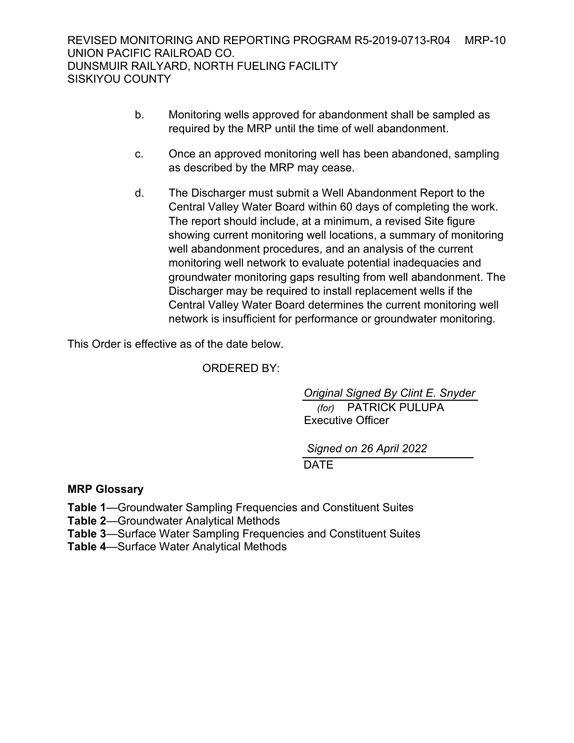- b. Monitoring wells approved for abandonment shall be sampled as required by the MRP until the time of well abandonment.
- c. Once an approved monitoring well has been abandoned, sampling as described by the MRP may cease.
- d. The Discharger must submit a Well Abandonment Report to the Central Valley Water Board within 60 days of completing the work. The report should include, at a minimum, a revised Site figure showing current monitoring well locations, a summary of monitoring well abandonment procedures, and an analysis of the current monitoring well network to evaluate potential inadequacies and groundwater monitoring gaps resulting from well abandonment. The Discharger may be required to install replacement wells if the Central Valley Water Board determines the current monitoring well network is insufficient for performance or groundwater monitoring.

This Order is effective as of the date below.

ORDERED BY:

 *(for)* PATRICK PULUPA Executive Officer *Original Signed By Clint E. Snyder*

**DATE** *Signed on 26 April 2022*

## **MRP Glossary**

**Table 1**—Groundwater Sampling Frequencies and Constituent Suites

**Table 2**—Groundwater Analytical Methods

**Table 3**—Surface Water Sampling Frequencies and Constituent Suites

**Table 4**—Surface Water Analytical Methods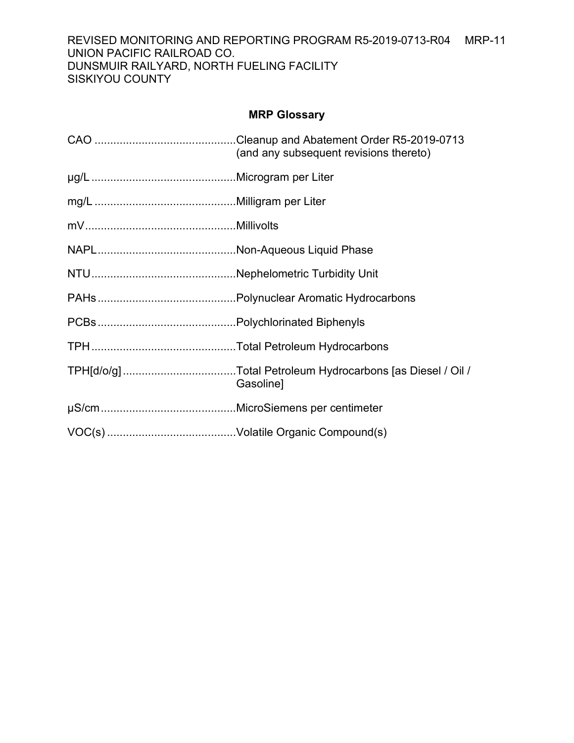## REVISED MONITORING AND REPORTING PROGRAM R5-2019-0713-R04 MRP-11 UNION PACIFIC RAILROAD CO. DUNSMUIR RAILYARD, NORTH FUELING FACILITY SISKIYOU COUNTY

# **MRP Glossary**

| (and any subsequent revisions thereto) |
|----------------------------------------|
|                                        |
|                                        |
|                                        |
|                                        |
|                                        |
|                                        |
|                                        |
|                                        |
| Gasoline]                              |
|                                        |
|                                        |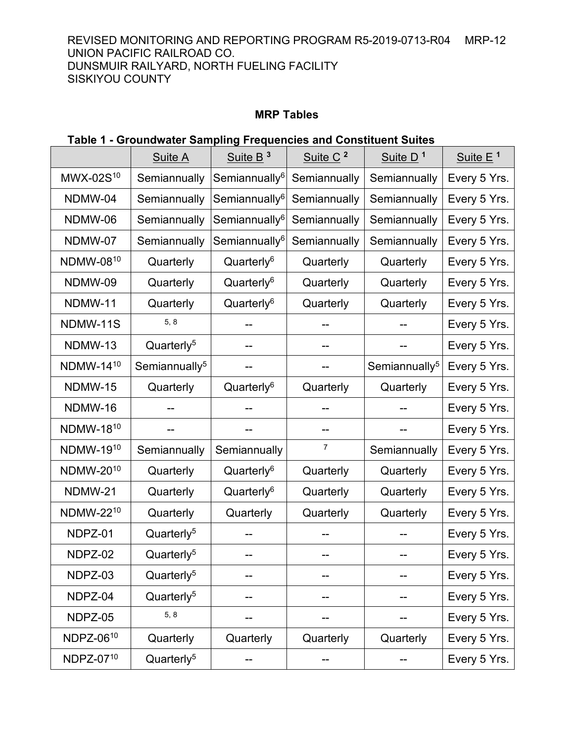REVISED MONITORING AND REPORTING PROGRAM R5-2019-0713-R04 MRP-12 UNION PACIFIC RAILROAD CO. DUNSMUIR RAILYARD, NORTH FUELING FACILITY SISKIYOU COUNTY

# **MRP Tables**

# **Table 1 - Groundwater Sampling Frequencies and Constituent Suites**

|                       | <b>Suite A</b>            | Suite $B^3$               | Suite C <sup>2</sup> | Suite D <sup>1</sup>      | Suite $E1$   |
|-----------------------|---------------------------|---------------------------|----------------------|---------------------------|--------------|
| MWX-02S <sup>10</sup> | Semiannually              | Semiannually <sup>6</sup> | Semiannually         | Semiannually              | Every 5 Yrs. |
| NDMW-04               | Semiannually              | Semiannually <sup>6</sup> | Semiannually         | Semiannually              | Every 5 Yrs. |
| NDMW-06               | Semiannually              | Semiannually <sup>6</sup> | Semiannually         | Semiannually              | Every 5 Yrs. |
| NDMW-07               | Semiannually              | Semiannually <sup>6</sup> | Semiannually         | Semiannually              | Every 5 Yrs. |
| NDMW-0810             | Quarterly                 | Quarterly <sup>6</sup>    | Quarterly            | Quarterly                 | Every 5 Yrs. |
| NDMW-09               | Quarterly                 | Quarterly <sup>6</sup>    | Quarterly            | Quarterly                 | Every 5 Yrs. |
| NDMW-11               | Quarterly                 | Quarterly <sup>6</sup>    | Quarterly            | Quarterly                 | Every 5 Yrs. |
| NDMW-11S              | 5, 8                      |                           |                      |                           | Every 5 Yrs. |
| NDMW-13               | Quarterly <sup>5</sup>    |                           |                      |                           | Every 5 Yrs. |
| NDMW-1410             | Semiannually <sup>5</sup> |                           |                      | Semiannually <sup>5</sup> | Every 5 Yrs. |
| NDMW-15               | Quarterly                 | Quarterly <sup>6</sup>    | Quarterly            | Quarterly                 | Every 5 Yrs. |
| NDMW-16               |                           |                           |                      |                           | Every 5 Yrs. |
| NDMW-1810             |                           |                           | --                   |                           | Every 5 Yrs. |
| NDMW-1910             | Semiannually              | Semiannually              | 7                    | Semiannually              | Every 5 Yrs. |
| NDMW-2010             | Quarterly                 | Quarterly <sup>6</sup>    | Quarterly            | Quarterly                 | Every 5 Yrs. |
| NDMW-21               | Quarterly                 | Quarterly <sup>6</sup>    | Quarterly            | Quarterly                 | Every 5 Yrs. |
| NDMW-2210             | Quarterly                 | Quarterly                 | Quarterly            | Quarterly                 | Every 5 Yrs. |
| NDPZ-01               | Quarterly <sup>5</sup>    |                           |                      |                           | Every 5 Yrs. |
| NDPZ-02               | Quarterly <sup>5</sup>    |                           |                      |                           | Every 5 Yrs. |
| NDPZ-03               | Quarterly <sup>5</sup>    | --                        | --                   |                           | Every 5 Yrs. |
| NDPZ-04               | Quarterly <sup>5</sup>    |                           |                      |                           | Every 5 Yrs. |
| NDPZ-05               | 5, 8                      |                           |                      |                           | Every 5 Yrs. |
| NDPZ-0610             | Quarterly                 | Quarterly                 | Quarterly            | Quarterly                 | Every 5 Yrs. |
| NDPZ-0710             | Quarterly <sup>5</sup>    |                           |                      |                           | Every 5 Yrs. |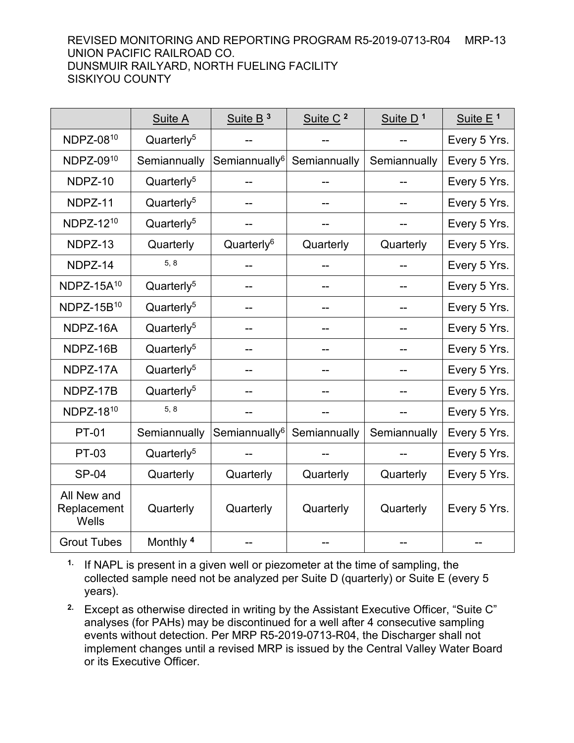## REVISED MONITORING AND REPORTING PROGRAM R5-2019-0713-R04 MRP-13 UNION PACIFIC RAILROAD CO. DUNSMUIR RAILYARD, NORTH FUELING FACILITY SISKIYOU COUNTY

|                                     | <b>Suite A</b>         | Suite B <sup>3</sup>      | Suite C <sup>2</sup> | Suite D <sup>1</sup> | Suite $E^1$  |
|-------------------------------------|------------------------|---------------------------|----------------------|----------------------|--------------|
| NDPZ-0810                           | Quarterly <sup>5</sup> |                           |                      |                      | Every 5 Yrs. |
| NDPZ-0910                           | Semiannually           | Semiannually <sup>6</sup> | Semiannually         | Semiannually         | Every 5 Yrs. |
| NDPZ-10                             | Quarterly <sup>5</sup> |                           |                      |                      | Every 5 Yrs. |
| NDPZ-11                             | Quarterly <sup>5</sup> |                           | --                   |                      | Every 5 Yrs. |
| NDPZ-1210                           | Quarterly <sup>5</sup> |                           |                      |                      | Every 5 Yrs. |
| NDPZ-13                             | Quarterly              | Quarterly <sup>6</sup>    | Quarterly            | Quarterly            | Every 5 Yrs. |
| NDPZ-14                             | 5, 8                   |                           |                      |                      | Every 5 Yrs. |
| NDPZ-15 $A$ <sup>10</sup>           | Quarterly <sup>5</sup> |                           | --                   |                      | Every 5 Yrs. |
| NDPZ-15B <sup>10</sup>              | Quarterly <sup>5</sup> |                           | --                   |                      | Every 5 Yrs. |
| NDPZ-16A                            | Quarterly <sup>5</sup> |                           | --                   |                      | Every 5 Yrs. |
| NDPZ-16B                            | Quarterly <sup>5</sup> |                           |                      |                      | Every 5 Yrs. |
| NDPZ-17A                            | Quarterly <sup>5</sup> |                           | --                   | --                   | Every 5 Yrs. |
| NDPZ-17B                            | Quarterly <sup>5</sup> |                           | --                   |                      | Every 5 Yrs. |
| NDPZ-1810                           | 5, 8                   |                           |                      |                      | Every 5 Yrs. |
| <b>PT-01</b>                        | Semiannually           | Semiannually <sup>6</sup> | Semiannually         | Semiannually         | Every 5 Yrs. |
| <b>PT-03</b>                        | Quarterly <sup>5</sup> |                           |                      |                      | Every 5 Yrs. |
| <b>SP-04</b>                        | Quarterly              | Quarterly                 | Quarterly            | Quarterly            | Every 5 Yrs. |
| All New and<br>Replacement<br>Wells | Quarterly              | Quarterly                 | Quarterly            | Quarterly            | Every 5 Yrs. |
| <b>Grout Tubes</b>                  | Monthly <sup>4</sup>   |                           |                      |                      |              |

**1.** If NAPL is present in a given well or piezometer at the time of sampling, the collected sample need not be analyzed per Suite D (quarterly) or Suite E (every 5 years).

**2.** Except as otherwise directed in writing by the Assistant Executive Officer, "Suite C" analyses (for PAHs) may be discontinued for a well after 4 consecutive sampling events without detection. Per MRP R5-2019-0713-R04, the Discharger shall not implement changes until a revised MRP is issued by the Central Valley Water Board or its Executive Officer.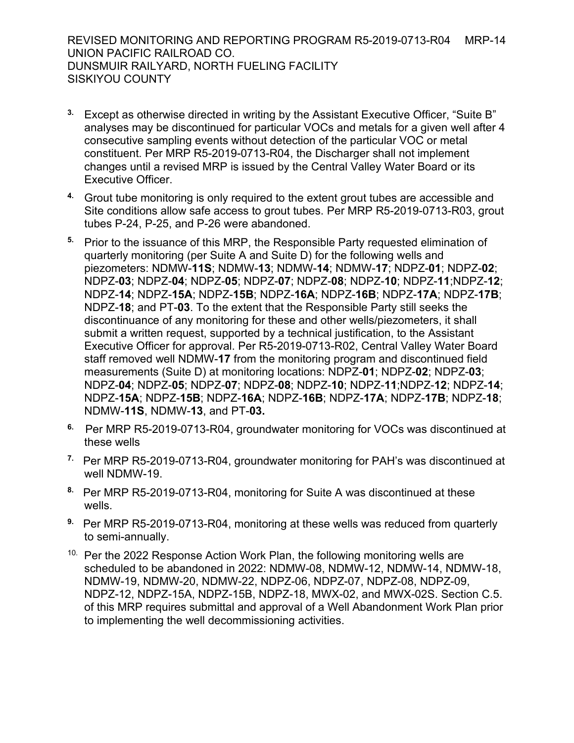REVISED MONITORING AND REPORTING PROGRAM R5-2019-0713-R04 MRP-14 UNION PACIFIC RAILROAD CO. DUNSMUIR RAILYARD, NORTH FUELING FACILITY SISKIYOU COUNTY

- **3.** Except as otherwise directed in writing by the Assistant Executive Officer, "Suite B" analyses may be discontinued for particular VOCs and metals for a given well after 4 consecutive sampling events without detection of the particular VOC or metal constituent. Per MRP R5-2019-0713-R04, the Discharger shall not implement changes until a revised MRP is issued by the Central Valley Water Board or its Executive Officer.
- **4.** Grout tube monitoring is only required to the extent grout tubes are accessible and Site conditions allow safe access to grout tubes. Per MRP R5-2019-0713-R03, grout tubes P-24, P-25, and P-26 were abandoned.
- **5.** Prior to the issuance of this MRP, the Responsible Party requested elimination of quarterly monitoring (per Suite A and Suite D) for the following wells and piezometers: NDMW-**11S**; NDMW-**13**; NDMW-**14**; NDMW-**17**; NDPZ-**01**; NDPZ-**02**; NDPZ-**03**; NDPZ-**04**; NDPZ-**05**; NDPZ-**07**; NDPZ-**08**; NDPZ-**10**; NDPZ-**11**;NDPZ-**12**; NDPZ-**14**; NDPZ-**15A**; NDPZ-**15B**; NDPZ-**16A**; NDPZ-**16B**; NDPZ-**17A**; NDPZ-**17B**; NDPZ-**18**; and PT-**03**. To the extent that the Responsible Party still seeks the discontinuance of any monitoring for these and other wells/piezometers, it shall submit a written request, supported by a technical justification, to the Assistant Executive Officer for approval. Per R5-2019-0713-R02, Central Valley Water Board staff removed well NDMW-**17** from the monitoring program and discontinued field measurements (Suite D) at monitoring locations: NDPZ-**01**; NDPZ-**02**; NDPZ-**03**; NDPZ-**04**; NDPZ-**05**; NDPZ-**07**; NDPZ-**08**; NDPZ-**10**; NDPZ-**11**;NDPZ-**12**; NDPZ-**14**; NDPZ-**15A**; NDPZ-**15B**; NDPZ-**16A**; NDPZ-**16B**; NDPZ-**17A**; NDPZ-**17B**; NDPZ-**18**; NDMW-**11S**, NDMW-**13**, and PT-**03.**
- **6.** Per MRP R5-2019-0713-R04, groundwater monitoring for VOCs was discontinued at these wells
- **7.** Per MRP R5-2019-0713-R04, groundwater monitoring for PAH's was discontinued at well NDMW-19.
- **8.** Per MRP R5-2019-0713-R04, monitoring for Suite A was discontinued at these wells.
- **9.** Per MRP R5-2019-0713-R04, monitoring at these wells was reduced from quarterly to semi-annually.
- <sup>10.</sup> Per the 2022 Response Action Work Plan, the following monitoring wells are scheduled to be abandoned in 2022: NDMW-08, NDMW-12, NDMW-14, NDMW-18, NDMW-19, NDMW-20, NDMW-22, NDPZ-06, NDPZ-07, NDPZ-08, NDPZ-09, NDPZ-12, NDPZ-15A, NDPZ-15B, NDPZ-18, MWX-02, and MWX-02S. Section C.5. of this MRP requires submittal and approval of a Well Abandonment Work Plan prior to implementing the well decommissioning activities.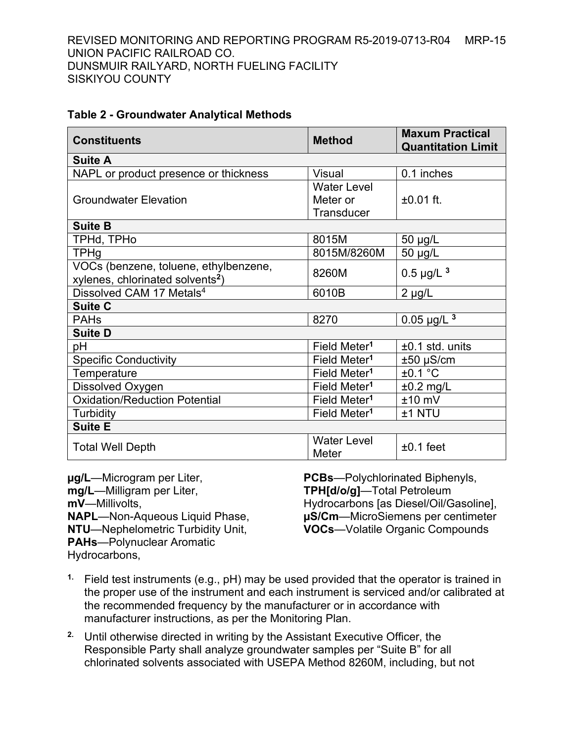| <b>Table 2 - Groundwater Analytical Methods</b> |  |  |
|-------------------------------------------------|--|--|
|-------------------------------------------------|--|--|

| <b>Constituents</b>                          | <b>Method</b>            | <b>Maxum Practical</b><br><b>Quantitation Limit</b> |
|----------------------------------------------|--------------------------|-----------------------------------------------------|
| <b>Suite A</b>                               |                          |                                                     |
| NAPL or product presence or thickness        | <b>Visual</b>            | 0.1 inches                                          |
|                                              | <b>Water Level</b>       |                                                     |
| <b>Groundwater Elevation</b>                 | Meter or                 | $±0.01$ ft.                                         |
|                                              | Transducer               |                                                     |
| <b>Suite B</b>                               |                          |                                                     |
| TPHd, TPHo                                   | 8015M                    | 50 µg/L                                             |
| TPHg                                         | 8015M/8260M              | 50 µg/L                                             |
| VOCs (benzene, toluene, ethylbenzene,        | 8260M                    | $0.5 \mu g/L$ <sup>3</sup>                          |
| xylenes, chlorinated solvents <sup>2</sup> ) |                          |                                                     |
| Dissolved CAM 17 Metals <sup>4</sup>         | 6010B                    | $2 \mu g/L$                                         |
| <b>Suite C</b>                               |                          |                                                     |
| <b>PAHs</b>                                  | 8270                     | $0.05 \mu g/L$ <sup>3</sup>                         |
| <b>Suite D</b>                               |                          |                                                     |
| рH                                           | Field Meter <sup>1</sup> | $±0.1$ std. units                                   |
| <b>Specific Conductivity</b>                 | Field Meter <sup>1</sup> | $±50$ µS/cm                                         |
| Temperature                                  | Field Meter <sup>1</sup> | ±0.1 °C                                             |
| Dissolved Oxygen                             | Field Meter <sup>1</sup> | $±0.2$ mg/L                                         |
| <b>Oxidation/Reduction Potential</b>         | Field Meter <sup>1</sup> | $±10$ mV                                            |
| Turbidity                                    | Field Meter <sup>1</sup> | ±1 NTU                                              |
| <b>Suite E</b>                               |                          |                                                     |
|                                              | <b>Water Level</b>       | $±0.1$ feet                                         |
| <b>Total Well Depth</b>                      | Meter                    |                                                     |

**µg/L**—Microgram per Liter, **mg/L**—Milligram per Liter, **mV**—Millivolts, **NAPL**—Non-Aqueous Liquid Phase, **NTU**—Nephelometric Turbidity Unit, **PAHs**—Polynuclear Aromatic Hydrocarbons,

**PCBs**—Polychlorinated Biphenyls, **TPH[d/o/g]**—Total Petroleum Hydrocarbons [as Diesel/Oil/Gasoline], **µS/Cm**—MicroSiemens per centimeter **VOCs**—Volatile Organic Compounds

- **1.** Field test instruments (e.g., pH) may be used provided that the operator is trained in the proper use of the instrument and each instrument is serviced and/or calibrated at the recommended frequency by the manufacturer or in accordance with manufacturer instructions, as per the Monitoring Plan.
- **2.** Until otherwise directed in writing by the Assistant Executive Officer, the Responsible Party shall analyze groundwater samples per "Suite B" for all chlorinated solvents associated with USEPA Method 8260M, including, but not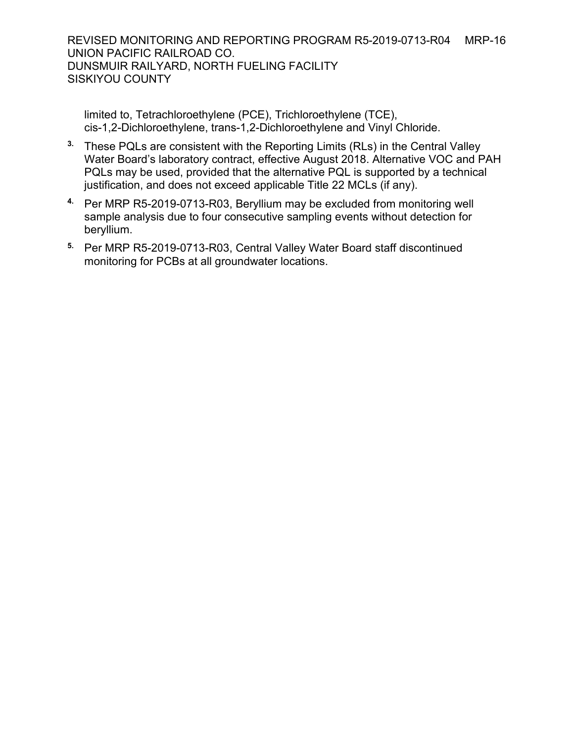REVISED MONITORING AND REPORTING PROGRAM R5-2019-0713-R04 MRP-16 UNION PACIFIC RAILROAD CO. DUNSMUIR RAILYARD, NORTH FUELING FACILITY SISKIYOU COUNTY

limited to, Tetrachloroethylene (PCE), Trichloroethylene (TCE), cis-1,2-Dichloroethylene, trans-1,2-Dichloroethylene and Vinyl Chloride.

- **3.** These PQLs are consistent with the Reporting Limits (RLs) in the Central Valley Water Board's laboratory contract, effective August 2018. Alternative VOC and PAH PQLs may be used, provided that the alternative PQL is supported by a technical justification, and does not exceed applicable Title 22 MCLs (if any).
- **4.** Per MRP R5-2019-0713-R03, Beryllium may be excluded from monitoring well sample analysis due to four consecutive sampling events without detection for beryllium.
- **5.** Per MRP R5-2019-0713-R03, Central Valley Water Board staff discontinued monitoring for PCBs at all groundwater locations.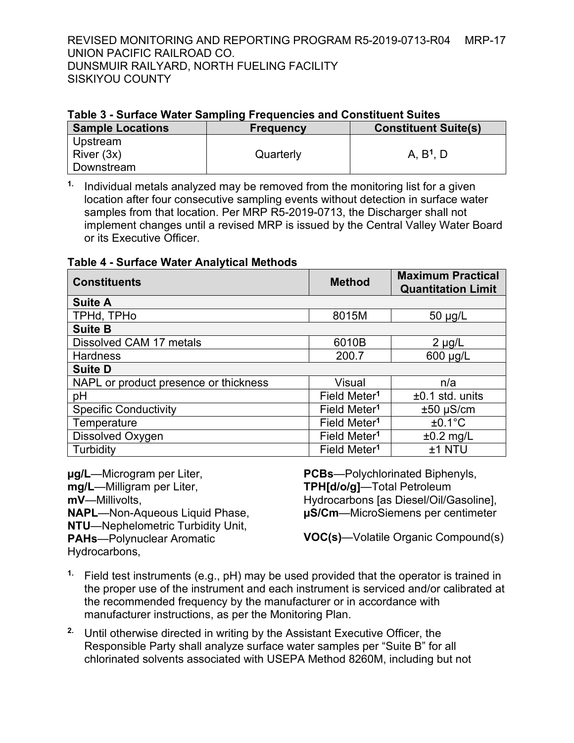REVISED MONITORING AND REPORTING PROGRAM R5-2019-0713-R04 MRP-17 UNION PACIFIC RAILROAD CO. DUNSMUIR RAILYARD, NORTH FUELING FACILITY SISKIYOU COUNTY

## **Table 3 - Surface Water Sampling Frequencies and Constituent Suites**

| <b>Sample Locations</b> | <b>Frequency</b> | <b>Constituent Suite(s)</b> |
|-------------------------|------------------|-----------------------------|
| Upstream                |                  |                             |
| River (3x)              | Quarterly        | A, B <sup>1</sup> , D       |
| Downstream              |                  |                             |

**1.** Individual metals analyzed may be removed from the monitoring list for a given location after four consecutive sampling events without detection in surface water samples from that location. Per MRP R5-2019-0713, the Discharger shall not implement changes until a revised MRP is issued by the Central Valley Water Board or its Executive Officer.

## **Table 4 - Surface Water Analytical Methods**

| <b>Constituents</b>                   | <b>Method</b>            | <b>Maximum Practical</b><br><b>Quantitation Limit</b> |
|---------------------------------------|--------------------------|-------------------------------------------------------|
| <b>Suite A</b>                        |                          |                                                       |
| TPHd, TPHo                            | 8015M                    | $50 \mu g/L$                                          |
| <b>Suite B</b>                        |                          |                                                       |
| Dissolved CAM 17 metals               | 6010B                    | $2 \mu g/L$                                           |
| <b>Hardness</b>                       | 200.7                    | 600 µg/L                                              |
| <b>Suite D</b>                        |                          |                                                       |
| NAPL or product presence or thickness | <b>Visual</b>            | n/a                                                   |
| pH                                    | Field Meter <sup>1</sup> | $±0.1$ std. units                                     |
| <b>Specific Conductivity</b>          | Field Meter <sup>1</sup> | $±50 \mu S/cm$                                        |
| Temperature                           | Field Meter <sup>1</sup> | $±0.1^{\circ}C$                                       |
| Dissolved Oxygen                      | Field Meter <sup>1</sup> | $±0.2$ mg/L                                           |
| Turbidity                             | Field Meter <sup>1</sup> | ±1 NTU                                                |

**µg/L**—Microgram per Liter, **mg/L**—Milligram per Liter, **mV**—Millivolts, **NAPL**—Non-Aqueous Liquid Phase, **NTU**—Nephelometric Turbidity Unit, **PAHs**—Polynuclear Aromatic Hydrocarbons,

**PCBs**—Polychlorinated Biphenyls, **TPH[d/o/g]**—Total Petroleum Hydrocarbons [as Diesel/Oil/Gasoline], **µS/Cm**—MicroSiemens per centimeter

**VOC(s)**—Volatile Organic Compound(s)

- **1.** Field test instruments (e.g., pH) may be used provided that the operator is trained in the proper use of the instrument and each instrument is serviced and/or calibrated at the recommended frequency by the manufacturer or in accordance with manufacturer instructions, as per the Monitoring Plan.
- **2.** Until otherwise directed in writing by the Assistant Executive Officer, the Responsible Party shall analyze surface water samples per "Suite B" for all chlorinated solvents associated with USEPA Method 8260M, including but not